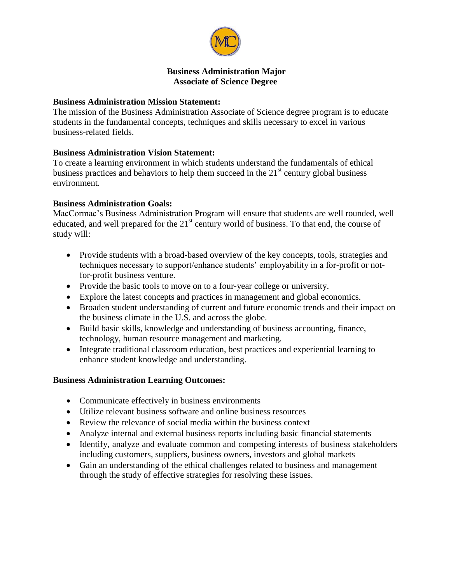

#### **Business Administration Major Associate of Science Degree**

#### **Business Administration Mission Statement:**

The mission of the Business Administration Associate of Science degree program is to educate students in the fundamental concepts, techniques and skills necessary to excel in various business-related fields.

## **Business Administration Vision Statement:**

To create a learning environment in which students understand the fundamentals of ethical business practices and behaviors to help them succeed in the  $21<sup>st</sup>$  century global business environment.

#### **Business Administration Goals:**

MacCormac's Business Administration Program will ensure that students are well rounded, well educated, and well prepared for the  $21<sup>st</sup>$  century world of business. To that end, the course of study will:

- Provide students with a broad-based overview of the key concepts, tools, strategies and techniques necessary to support/enhance students' employability in a for-profit or notfor-profit business venture.
- Provide the basic tools to move on to a four-year college or university.
- Explore the latest concepts and practices in management and global economics.
- Broaden student understanding of current and future economic trends and their impact on the business climate in the U.S. and across the globe.
- Build basic skills, knowledge and understanding of business accounting, finance, technology, human resource management and marketing.
- Integrate traditional classroom education, best practices and experiential learning to enhance student knowledge and understanding.

## **Business Administration Learning Outcomes:**

- Communicate effectively in business environments
- Utilize relevant business software and online business resources
- Review the relevance of social media within the business context
- Analyze internal and external business reports including basic financial statements
- Identify, analyze and evaluate common and competing interests of business stakeholders including customers, suppliers, business owners, investors and global markets
- Gain an understanding of the ethical challenges related to business and management through the study of effective strategies for resolving these issues.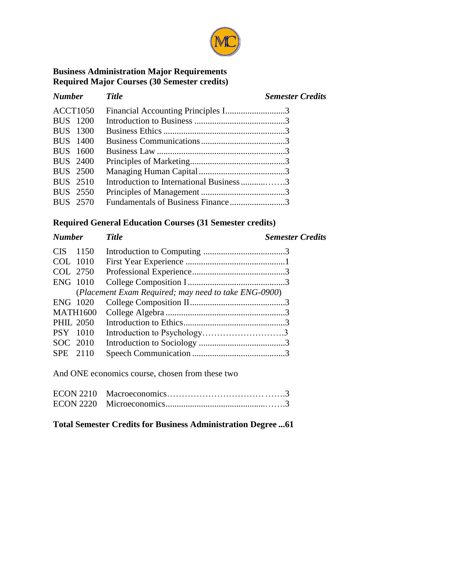

## **Business Administration Major Requirements Required Major Courses (30 Semester credits)**

| <b>Number</b>   | <b>Title</b>                             | <b>Semester Credits</b> |
|-----------------|------------------------------------------|-------------------------|
| <b>ACCT1050</b> | Financial Accounting Principles I3       |                         |
| <b>BUS</b> 1200 |                                          |                         |
| <b>BUS</b> 1300 |                                          |                         |
| <b>BUS</b> 1400 |                                          |                         |
| <b>BUS</b> 1600 |                                          |                         |
| <b>BUS</b> 2400 |                                          |                         |
| <b>BUS</b> 2500 |                                          |                         |
| <b>BUS</b> 2510 | Introduction to International Business 3 |                         |
| <b>BUS</b> 2550 |                                          |                         |
| BUS 2570        | Fundamentals of Business Finance3        |                         |
|                 |                                          |                         |

## **Required General Education Courses (31 Semester credits)**

| <b>Number</b>      | <b>Title</b>                                         | <b>Semester Credits</b> |
|--------------------|------------------------------------------------------|-------------------------|
| <b>CIS</b><br>1150 |                                                      |                         |
| COL 1010           |                                                      |                         |
| COL 2750           |                                                      |                         |
| <b>ENG 1010</b>    |                                                      |                         |
|                    | (Placement Exam Required; may need to take ENG-0900) |                         |
| ENG 1020           |                                                      |                         |
| <b>MATH1600</b>    |                                                      |                         |
| <b>PHIL 2050</b>   |                                                      |                         |
| <b>PSY</b> 1010    |                                                      |                         |
| SOC 2010           |                                                      |                         |
| 2110<br><b>SPE</b> |                                                      |                         |

And ONE economics course, chosen from these two

## **Total Semester Credits for Business Administration Degree ...61**